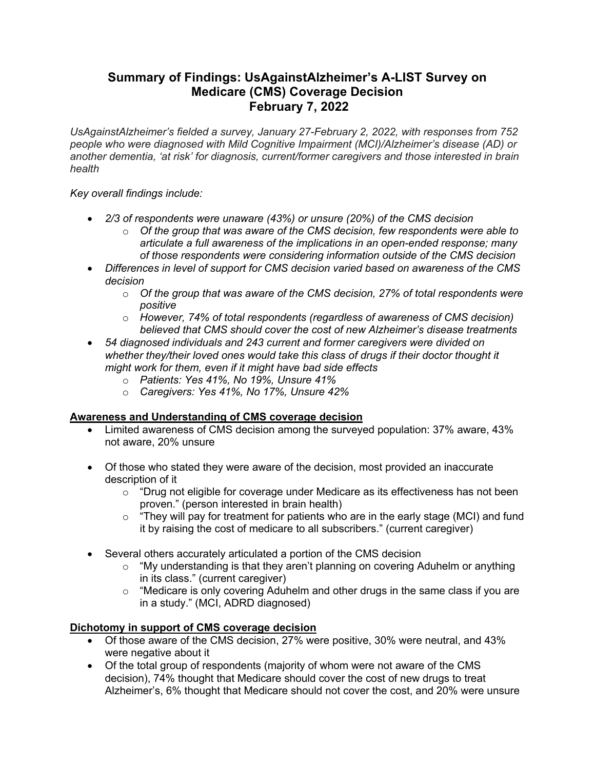# **Summary of Findings: UsAgainstAlzheimer's A-LIST Survey on Medicare (CMS) Coverage Decision February 7, 2022**

*UsAgainstAlzheimer's fielded a survey, January 27-February 2, 2022, with responses from 752 people who were diagnosed with Mild Cognitive Impairment (MCI)/Alzheimer's disease (AD) or another dementia, 'at risk' for diagnosis, current/former caregivers and those interested in brain health*

*Key overall findings include:*

- *2/3 of respondents were unaware (43%) or unsure (20%) of the CMS decision*
	- o *Of the group that was aware of the CMS decision, few respondents were able to articulate a full awareness of the implications in an open-ended response; many of those respondents were considering information outside of the CMS decision*
- *Differences in level of support for CMS decision varied based on awareness of the CMS decision*
	- o *Of the group that was aware of the CMS decision, 27% of total respondents were positive*
	- o *However, 74% of total respondents (regardless of awareness of CMS decision) believed that CMS should cover the cost of new Alzheimer's disease treatments*
- *54 diagnosed individuals and 243 current and former caregivers were divided on whether they/their loved ones would take this class of drugs if their doctor thought it might work for them, even if it might have bad side effects*
	- o *Patients: Yes 41%, No 19%, Unsure 41%*
	- o *Caregivers: Yes 41%, No 17%, Unsure 42%*

## **Awareness and Understanding of CMS coverage decision**

- Limited awareness of CMS decision among the surveyed population: 37% aware, 43% not aware, 20% unsure
- Of those who stated they were aware of the decision, most provided an inaccurate description of it
	- $\circ$  "Drug not eligible for coverage under Medicare as its effectiveness has not been proven." (person interested in brain health)
	- $\circ$  "They will pay for treatment for patients who are in the early stage (MCI) and fund it by raising the cost of medicare to all subscribers." (current caregiver)
- Several others accurately articulated a portion of the CMS decision
	- o "My understanding is that they aren't planning on covering Aduhelm or anything in its class." (current caregiver)
	- o "Medicare is only covering Aduhelm and other drugs in the same class if you are in a study." (MCI, ADRD diagnosed)

## **Dichotomy in support of CMS coverage decision**

- Of those aware of the CMS decision, 27% were positive, 30% were neutral, and 43% were negative about it
- Of the total group of respondents (majority of whom were not aware of the CMS decision), 74% thought that Medicare should cover the cost of new drugs to treat Alzheimer's, 6% thought that Medicare should not cover the cost, and 20% were unsure